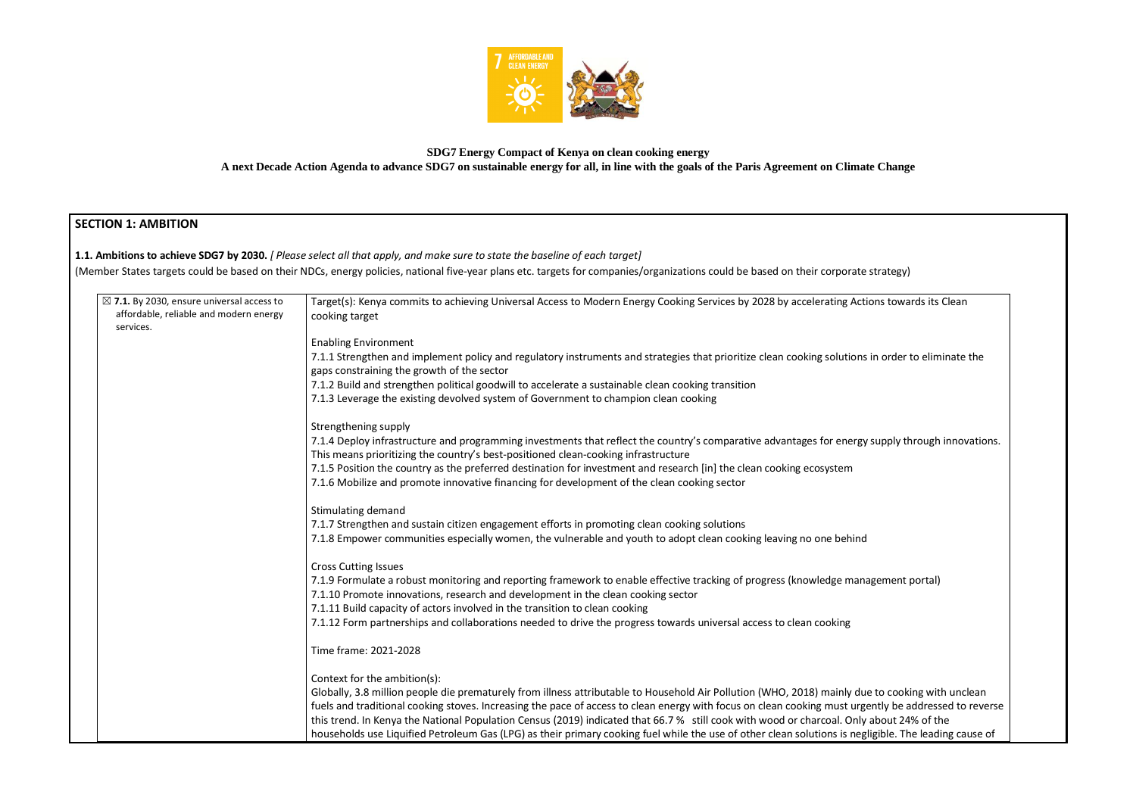

## **SDG7 Energy Compact of Kenya on clean cooking energy A next Decade Action Agenda to advance SDG7 on sustainable energy for all, in line with the goals of the Paris Agreement on Climate Change**

## **SECTION 1: AMBITION**

**1.1. Ambitions to achieve SDG7 by 2030.** *[ Please select all that apply, and make sure to state the baseline of each target]* 

(Member States targets could be based on their NDCs, energy policies, national five-year plans etc. targets for companies/organizations could be based on their corporate

| $\boxtimes$ 7.1. By 2030, ensure universal access to<br>affordable, reliable and modern energy | Target(s): Kenya commits to achieving Universal Access to Modern Energy Cooking Services by 2028 by accelerating Actions towards its Clean                        |
|------------------------------------------------------------------------------------------------|-------------------------------------------------------------------------------------------------------------------------------------------------------------------|
| services.                                                                                      | cooking target                                                                                                                                                    |
|                                                                                                | <b>Enabling Environment</b>                                                                                                                                       |
|                                                                                                | 7.1.1 Strengthen and implement policy and regulatory instruments and strategies that prioritize clean cooking solutions in order to eliminate the                 |
|                                                                                                | gaps constraining the growth of the sector                                                                                                                        |
|                                                                                                | 7.1.2 Build and strengthen political goodwill to accelerate a sustainable clean cooking transition                                                                |
|                                                                                                | 7.1.3 Leverage the existing devolved system of Government to champion clean cooking                                                                               |
|                                                                                                | Strengthening supply                                                                                                                                              |
|                                                                                                | 7.1.4 Deploy infrastructure and programming investments that reflect the country's comparative advantages for energy supply through innovations.                  |
|                                                                                                | This means prioritizing the country's best-positioned clean-cooking infrastructure                                                                                |
|                                                                                                | 7.1.5 Position the country as the preferred destination for investment and research [in] the clean cooking ecosystem                                              |
|                                                                                                | 7.1.6 Mobilize and promote innovative financing for development of the clean cooking sector                                                                       |
|                                                                                                | Stimulating demand                                                                                                                                                |
|                                                                                                | 7.1.7 Strengthen and sustain citizen engagement efforts in promoting clean cooking solutions                                                                      |
|                                                                                                | 7.1.8 Empower communities especially women, the vulnerable and youth to adopt clean cooking leaving no one behind                                                 |
|                                                                                                |                                                                                                                                                                   |
|                                                                                                | <b>Cross Cutting Issues</b><br>7.1.9 Formulate a robust monitoring and reporting framework to enable effective tracking of progress (knowledge management portal) |
|                                                                                                | 7.1.10 Promote innovations, research and development in the clean cooking sector                                                                                  |
|                                                                                                | 7.1.11 Build capacity of actors involved in the transition to clean cooking                                                                                       |
|                                                                                                | 7.1.12 Form partnerships and collaborations needed to drive the progress towards universal access to clean cooking                                                |
|                                                                                                |                                                                                                                                                                   |
|                                                                                                | Time frame: 2021-2028                                                                                                                                             |
|                                                                                                | Context for the ambition(s):                                                                                                                                      |
|                                                                                                | Globally, 3.8 million people die prematurely from illness attributable to Household Air Pollution (WHO, 2018) mainly due to cooking with unclean                  |
|                                                                                                | fuels and traditional cooking stoves. Increasing the pace of access to clean energy with focus on clean cooking must urgently be addressed to reverse             |
|                                                                                                | this trend. In Kenya the National Population Census (2019) indicated that 66.7% still cook with wood or charcoal. Only about 24% of the                           |
|                                                                                                | households use Liquified Petroleum Gas (LPG) as their primary cooking fuel while the use of other clean solutions is negligible. The leading cause of             |
|                                                                                                |                                                                                                                                                                   |

| te strategy)                                                                         |
|--------------------------------------------------------------------------------------|
| ctions towards its Clean                                                             |
| ns in order to eliminate the                                                         |
|                                                                                      |
| gy supply through innovations.                                                       |
|                                                                                      |
| ١d                                                                                   |
|                                                                                      |
| nagement portal)                                                                     |
|                                                                                      |
|                                                                                      |
| lue to cooking with unclean<br>gently be addressed to reverse<br>ly about 24% of the |
| egligible. The leading cause of                                                      |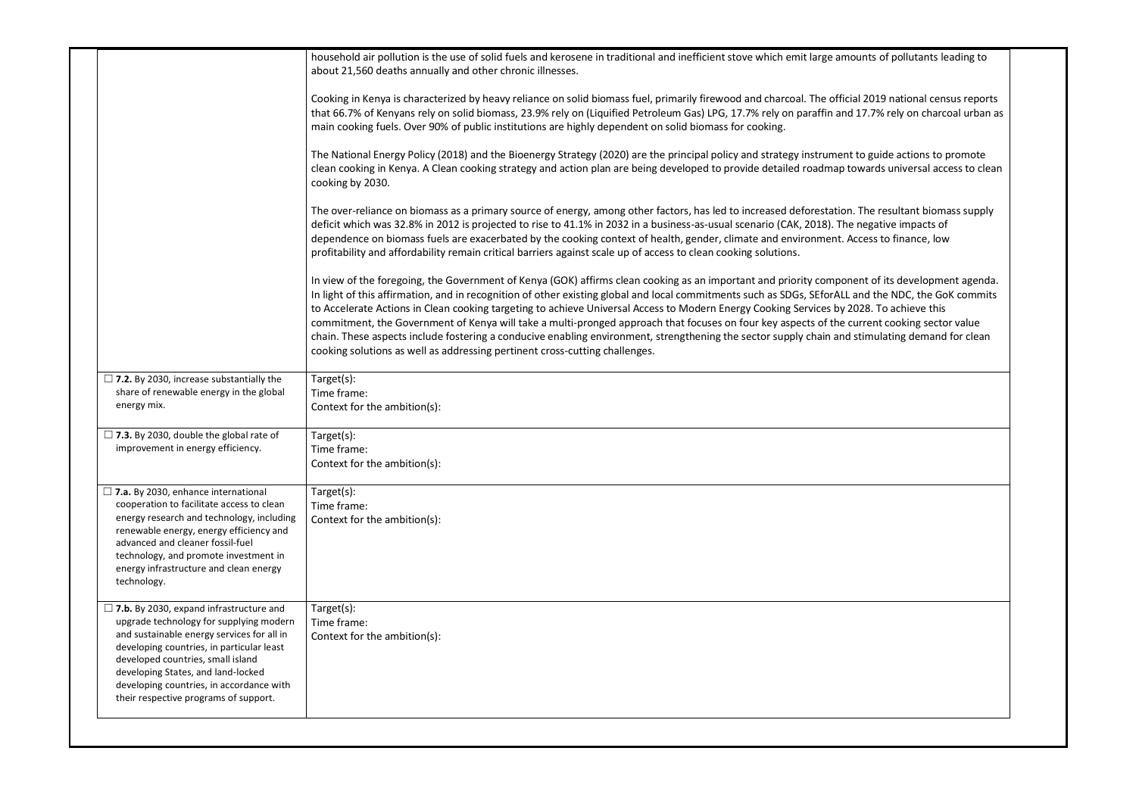|                                                                                                                                                                                                                                                                                                                                                      | household air pollution is the use of solid fuels and kerosene in traditional and inefficient stove which emit large amounts of pollutants leading to<br>about 21,560 deaths annually and other chronic illnesses.                                                                                                                                                                                                                                                                                                                                                                                                                                                                                                                                                                                                                 |
|------------------------------------------------------------------------------------------------------------------------------------------------------------------------------------------------------------------------------------------------------------------------------------------------------------------------------------------------------|------------------------------------------------------------------------------------------------------------------------------------------------------------------------------------------------------------------------------------------------------------------------------------------------------------------------------------------------------------------------------------------------------------------------------------------------------------------------------------------------------------------------------------------------------------------------------------------------------------------------------------------------------------------------------------------------------------------------------------------------------------------------------------------------------------------------------------|
|                                                                                                                                                                                                                                                                                                                                                      | Cooking in Kenya is characterized by heavy reliance on solid biomass fuel, primarily firewood and charcoal. The official 2019 national census reports<br>that 66.7% of Kenyans rely on solid biomass, 23.9% rely on (Liquified Petroleum Gas) LPG, 17.7% rely on paraffin and 17.7% rely on charcoal urban as<br>main cooking fuels. Over 90% of public institutions are highly dependent on solid biomass for cooking.                                                                                                                                                                                                                                                                                                                                                                                                            |
|                                                                                                                                                                                                                                                                                                                                                      | The National Energy Policy (2018) and the Bioenergy Strategy (2020) are the principal policy and strategy instrument to guide actions to promote<br>clean cooking in Kenya. A Clean cooking strategy and action plan are being developed to provide detailed roadmap towards universal access to clean<br>cooking by 2030.                                                                                                                                                                                                                                                                                                                                                                                                                                                                                                         |
|                                                                                                                                                                                                                                                                                                                                                      | The over-reliance on biomass as a primary source of energy, among other factors, has led to increased deforestation. The resultant biomass supply<br>deficit which was 32.8% in 2012 is projected to rise to 41.1% in 2032 in a business-as-usual scenario (CAK, 2018). The negative impacts of<br>dependence on biomass fuels are exacerbated by the cooking context of health, gender, climate and environment. Access to finance, low<br>profitability and affordability remain critical barriers against scale up of access to clean cooking solutions.                                                                                                                                                                                                                                                                        |
|                                                                                                                                                                                                                                                                                                                                                      | In view of the foregoing, the Government of Kenya (GOK) affirms clean cooking as an important and priority component of its development agenda.<br>In light of this affirmation, and in recognition of other existing global and local commitments such as SDGs, SEforALL and the NDC, the GoK commits<br>to Accelerate Actions in Clean cooking targeting to achieve Universal Access to Modern Energy Cooking Services by 2028. To achieve this<br>commitment, the Government of Kenya will take a multi-pronged approach that focuses on four key aspects of the current cooking sector value<br>chain. These aspects include fostering a conducive enabling environment, strengthening the sector supply chain and stimulating demand for clean<br>cooking solutions as well as addressing pertinent cross-cutting challenges. |
| $\Box$ 7.2. By 2030, increase substantially the<br>share of renewable energy in the global<br>energy mix.                                                                                                                                                                                                                                            | Target(s):<br>Time frame:<br>Context for the ambition(s):                                                                                                                                                                                                                                                                                                                                                                                                                                                                                                                                                                                                                                                                                                                                                                          |
| $\Box$ 7.3. By 2030, double the global rate of<br>improvement in energy efficiency.                                                                                                                                                                                                                                                                  | Target(s):<br>Time frame:<br>Context for the ambition(s):                                                                                                                                                                                                                                                                                                                                                                                                                                                                                                                                                                                                                                                                                                                                                                          |
| $\Box$ 7.a. By 2030, enhance international<br>cooperation to facilitate access to clean<br>energy research and technology, including<br>renewable energy, energy efficiency and<br>advanced and cleaner fossil-fuel<br>technology, and promote investment in<br>energy infrastructure and clean energy<br>technology.                                | Target(s):<br>Time frame:<br>Context for the ambition(s):                                                                                                                                                                                                                                                                                                                                                                                                                                                                                                                                                                                                                                                                                                                                                                          |
| $\Box$ 7.b. By 2030, expand infrastructure and<br>upgrade technology for supplying modern<br>and sustainable energy services for all in<br>developing countries, in particular least<br>developed countries, small island<br>developing States, and land-locked<br>developing countries, in accordance with<br>their respective programs of support. | Target(s):<br>Time frame:<br>Context for the ambition(s):                                                                                                                                                                                                                                                                                                                                                                                                                                                                                                                                                                                                                                                                                                                                                                          |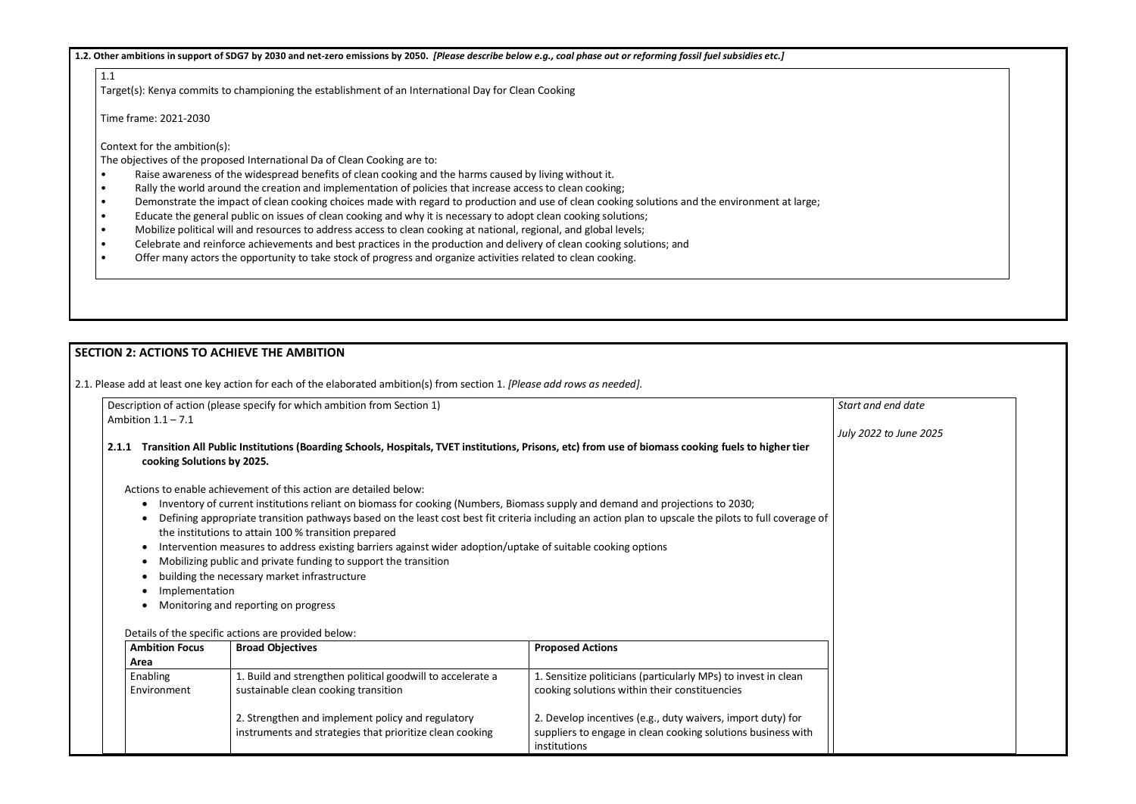**1.2. Other ambitions in support of SDG7 by 2030 and net-zero emissions by 2050.** *[Please describe below e.g., coal phase out or reforming fossil fuel subsidies etc.]*

1.1

Target(s): Kenya commits to championing the establishment of an International Day for Clean Cooking

Time frame: 2021-2030

Context for the ambition(s):

The objectives of the proposed International Da of Clean Cooking are to:

- Raise awareness of the widespread benefits of clean cooking and the harms caused by living without it.
- Rally the world around the creation and implementation of policies that increase access to clean cooking;
- Demonstrate the impact of clean cooking choices made with regard to production and use of clean cooking solutions and the environment at large;
- Educate the general public on issues of clean cooking and why it is necessary to adopt clean cooking solutions;<br>• Mobilize political will and resources to address access to clean cooking at national. regional, and global
- Mobilize political will and resources to address access to clean cooking at national, regional, and global levels;
- Celebrate and reinforce achievements and best practices in the production and delivery of clean cooking solutions; and
- Offer many actors the opportunity to take stock of progress and organize activities related to clean cooking.

## **SECTION 2: ACTIONS TO ACHIEVE THE AMBITION**

2.1. Please add at least one key action for each of the elaborated ambition(s) from section 1. *[Please add rows as needed].*

| Description of action (please specify for which ambition from Section 1) |  |
|--------------------------------------------------------------------------|--|
| Ambition 1.1 – 7.1                                                       |  |

#### **2.1.1 Transition All Public Institutions (Boarding Schools, Hospitals, TVET institutions, Prisons, etc) from use of biomass cooking fuels to higher tier cooking Solutions by 2025.**

Actions to enable achievement of this action are detailed below:

- Inventory of current institutions reliant on biomass for cooking (Numbers, Biomass supply and demand and projections to 2030;
- Defining appropriate transition pathways based on the least cost best fit criteria including an action plan to upscale the pilots to full coverage of the institutions to attain 100 % transition prepared
- Intervention measures to address existing barriers against wider adoption/uptake of suitable cooking options
- Mobilizing public and private funding to support the transition
- building the necessary market infrastructure
- Implementation
- Monitoring and reporting on progress

#### Details of the specific actions are provided below:

| <b>Ambition Focus</b><br>Area | <b>Broad Objectives</b>                                                                                       | <b>Proposed Actions</b>                                                                                                                     |
|-------------------------------|---------------------------------------------------------------------------------------------------------------|---------------------------------------------------------------------------------------------------------------------------------------------|
| Enabling<br>Environment       | 1. Build and strengthen political goodwill to accelerate a<br>sustainable clean cooking transition            | 1. Sensitize politicians (particularly MPs) to invest in clean<br>cooking solutions within their constituencies                             |
|                               | 2. Strengthen and implement policy and regulatory<br>instruments and strategies that prioritize clean cooking | 2. Develop incentives (e.g., duty waivers, import duty) for<br>suppliers to engage in clean cooking solutions business with<br>institutions |

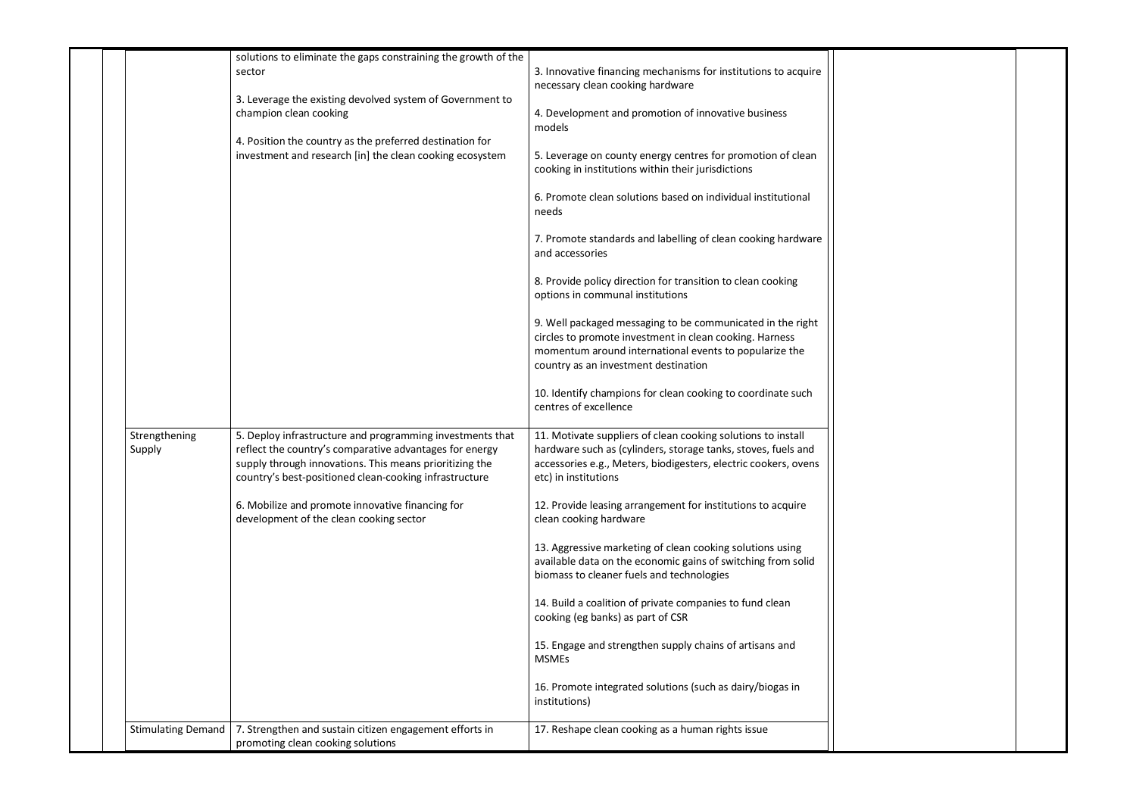|                           | solutions to eliminate the gaps constraining the growth of the                                                                                                                                                                            |                                                                                                                                                                                                                          |
|---------------------------|-------------------------------------------------------------------------------------------------------------------------------------------------------------------------------------------------------------------------------------------|--------------------------------------------------------------------------------------------------------------------------------------------------------------------------------------------------------------------------|
|                           | sector                                                                                                                                                                                                                                    | 3. Innovative financing mechanisms for institutions to acquire<br>necessary clean cooking hardware                                                                                                                       |
|                           | 3. Leverage the existing devolved system of Government to<br>champion clean cooking                                                                                                                                                       | 4. Development and promotion of innovative business<br>models                                                                                                                                                            |
|                           | 4. Position the country as the preferred destination for<br>investment and research [in] the clean cooking ecosystem                                                                                                                      | 5. Leverage on county energy centres for promotion of clean<br>cooking in institutions within their jurisdictions                                                                                                        |
|                           |                                                                                                                                                                                                                                           | 6. Promote clean solutions based on individual institutional<br>needs                                                                                                                                                    |
|                           |                                                                                                                                                                                                                                           | 7. Promote standards and labelling of clean cooking hardware<br>and accessories                                                                                                                                          |
|                           |                                                                                                                                                                                                                                           | 8. Provide policy direction for transition to clean cooking<br>options in communal institutions                                                                                                                          |
|                           |                                                                                                                                                                                                                                           | 9. Well packaged messaging to be communicated in the right<br>circles to promote investment in clean cooking. Harness<br>momentum around international events to popularize the<br>country as an investment destination  |
|                           |                                                                                                                                                                                                                                           | 10. Identify champions for clean cooking to coordinate such<br>centres of excellence                                                                                                                                     |
| Strengthening<br>Supply   | 5. Deploy infrastructure and programming investments that<br>reflect the country's comparative advantages for energy<br>supply through innovations. This means prioritizing the<br>country's best-positioned clean-cooking infrastructure | 11. Motivate suppliers of clean cooking solutions to install<br>hardware such as (cylinders, storage tanks, stoves, fuels and<br>accessories e.g., Meters, biodigesters, electric cookers, ovens<br>etc) in institutions |
|                           | 6. Mobilize and promote innovative financing for<br>development of the clean cooking sector                                                                                                                                               | 12. Provide leasing arrangement for institutions to acquire<br>clean cooking hardware                                                                                                                                    |
|                           |                                                                                                                                                                                                                                           | 13. Aggressive marketing of clean cooking solutions using<br>available data on the economic gains of switching from solid<br>biomass to cleaner fuels and technologies                                                   |
|                           |                                                                                                                                                                                                                                           | 14. Build a coalition of private companies to fund clean<br>cooking (eg banks) as part of CSR                                                                                                                            |
|                           |                                                                                                                                                                                                                                           | 15. Engage and strengthen supply chains of artisans and<br><b>MSMEs</b>                                                                                                                                                  |
|                           |                                                                                                                                                                                                                                           | 16. Promote integrated solutions (such as dairy/biogas in<br>institutions)                                                                                                                                               |
| <b>Stimulating Demand</b> | 7. Strengthen and sustain citizen engagement efforts in<br>promoting clean cooking solutions                                                                                                                                              | 17. Reshape clean cooking as a human rights issue                                                                                                                                                                        |

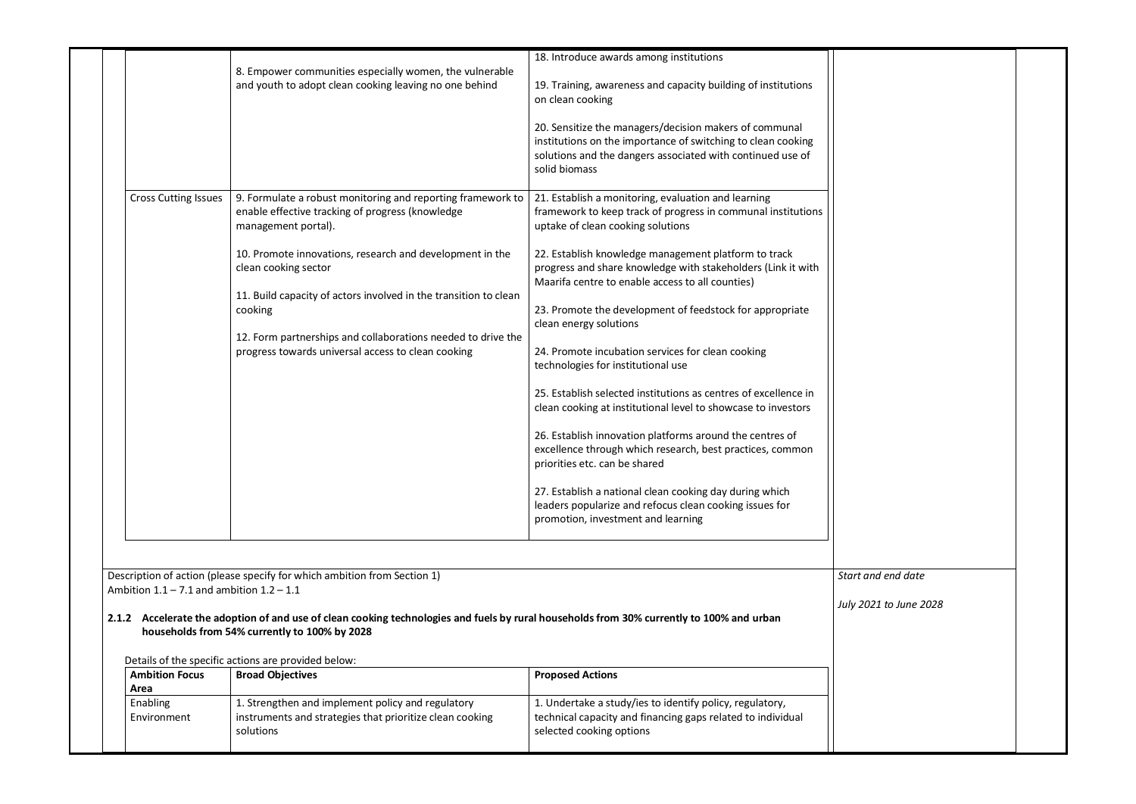|                                               |                                                                                                                                                                                            | 18. Introduce awards among institutions                                                                                                                                                               |
|-----------------------------------------------|--------------------------------------------------------------------------------------------------------------------------------------------------------------------------------------------|-------------------------------------------------------------------------------------------------------------------------------------------------------------------------------------------------------|
|                                               | 8. Empower communities especially women, the vulnerable<br>and youth to adopt clean cooking leaving no one behind                                                                          | 19. Training, awareness and capacity building of institutions<br>on clean cooking                                                                                                                     |
|                                               |                                                                                                                                                                                            | 20. Sensitize the managers/decision makers of communal<br>institutions on the importance of switching to clean cooking<br>solutions and the dangers associated with continued use of<br>solid biomass |
| <b>Cross Cutting Issues</b>                   | 9. Formulate a robust monitoring and reporting framework to<br>enable effective tracking of progress (knowledge<br>management portal).                                                     | 21. Establish a monitoring, evaluation and learning<br>framework to keep track of progress in communal institutions<br>uptake of clean cooking solutions                                              |
|                                               | 10. Promote innovations, research and development in the<br>clean cooking sector                                                                                                           | 22. Establish knowledge management platform to track<br>progress and share knowledge with stakeholders (Link it with<br>Maarifa centre to enable access to all counties)                              |
|                                               | 11. Build capacity of actors involved in the transition to clean<br>cooking                                                                                                                | 23. Promote the development of feedstock for appropriate<br>clean energy solutions                                                                                                                    |
|                                               | 12. Form partnerships and collaborations needed to drive the<br>progress towards universal access to clean cooking                                                                         | 24. Promote incubation services for clean cooking<br>technologies for institutional use                                                                                                               |
|                                               |                                                                                                                                                                                            | 25. Establish selected institutions as centres of excellence in<br>clean cooking at institutional level to showcase to investors                                                                      |
|                                               |                                                                                                                                                                                            | 26. Establish innovation platforms around the centres of<br>excellence through which research, best practices, common<br>priorities etc. can be shared                                                |
|                                               |                                                                                                                                                                                            | 27. Establish a national clean cooking day during which<br>leaders popularize and refocus clean cooking issues for<br>promotion, investment and learning                                              |
| Ambition $1.1 - 7.1$ and ambition $1.2 - 1.1$ | Description of action (please specify for which ambition from Section 1)                                                                                                                   |                                                                                                                                                                                                       |
|                                               | 2.1.2 Accelerate the adoption of and use of clean cooking technologies and fuels by rural households from 30% currently to 100% and urban<br>households from 54% currently to 100% by 2028 |                                                                                                                                                                                                       |
| <b>Ambition Focus</b>                         | Details of the specific actions are provided below:<br><b>Broad Objectives</b>                                                                                                             | <b>Proposed Actions</b>                                                                                                                                                                               |
| Area<br>Enabling                              | 1. Strengthen and implement policy and regulatory                                                                                                                                          | 1. Undertake a study/ies to identify policy, regulatory,                                                                                                                                              |



*July 2021 to June 2028*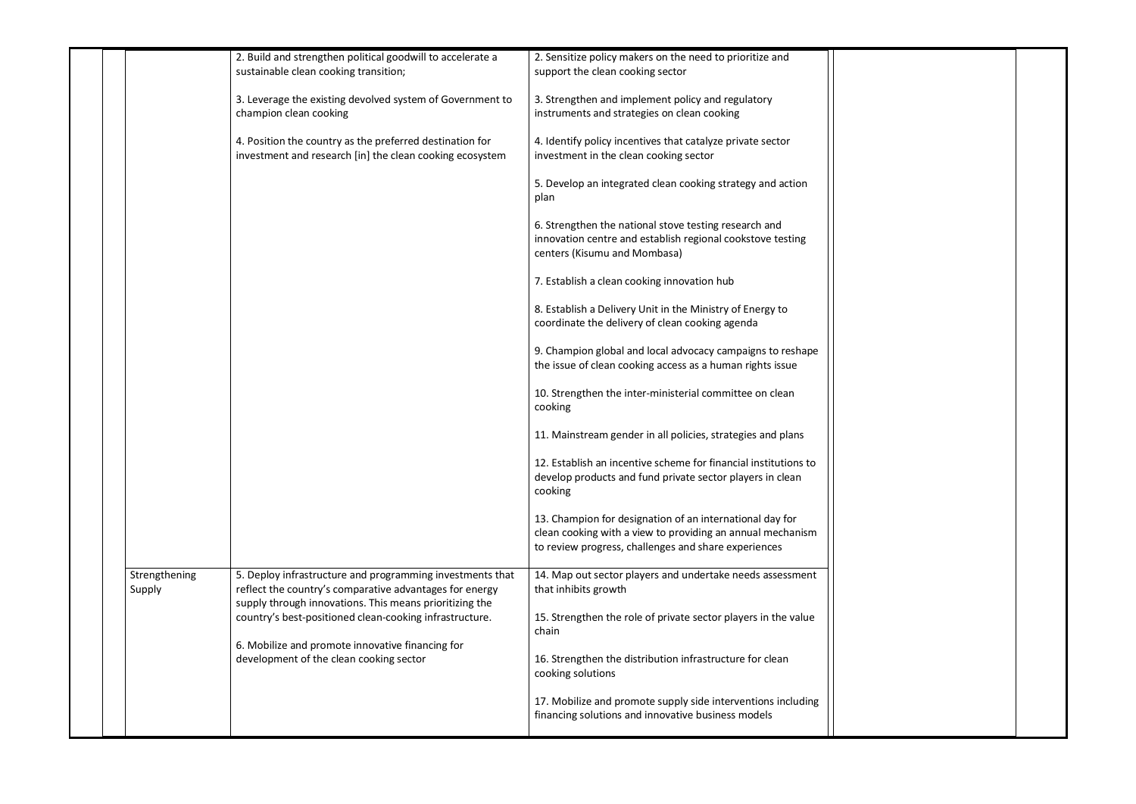|                         | 2. Build and strengthen political goodwill to accelerate a<br>sustainable clean cooking transition;                                                                             | 2. Sensitize policy makers on the need to prioritize and<br>support the clean cooking sector                                                                                   |
|-------------------------|---------------------------------------------------------------------------------------------------------------------------------------------------------------------------------|--------------------------------------------------------------------------------------------------------------------------------------------------------------------------------|
|                         | 3. Leverage the existing devolved system of Government to<br>champion clean cooking                                                                                             | 3. Strengthen and implement policy and regulatory<br>instruments and strategies on clean cooking                                                                               |
|                         | 4. Position the country as the preferred destination for<br>investment and research [in] the clean cooking ecosystem                                                            | 4. Identify policy incentives that catalyze private sector<br>investment in the clean cooking sector                                                                           |
|                         |                                                                                                                                                                                 | 5. Develop an integrated clean cooking strategy and action<br>plan                                                                                                             |
|                         |                                                                                                                                                                                 | 6. Strengthen the national stove testing research and<br>innovation centre and establish regional cookstove testing<br>centers (Kisumu and Mombasa)                            |
|                         |                                                                                                                                                                                 | 7. Establish a clean cooking innovation hub                                                                                                                                    |
|                         |                                                                                                                                                                                 | 8. Establish a Delivery Unit in the Ministry of Energy to<br>coordinate the delivery of clean cooking agenda                                                                   |
|                         |                                                                                                                                                                                 | 9. Champion global and local advocacy campaigns to reshape<br>the issue of clean cooking access as a human rights issue                                                        |
|                         |                                                                                                                                                                                 | 10. Strengthen the inter-ministerial committee on clean<br>cooking                                                                                                             |
|                         |                                                                                                                                                                                 | 11. Mainstream gender in all policies, strategies and plans                                                                                                                    |
|                         |                                                                                                                                                                                 | 12. Establish an incentive scheme for financial institutions to<br>develop products and fund private sector players in clean<br>cooking                                        |
|                         |                                                                                                                                                                                 | 13. Champion for designation of an international day for<br>clean cooking with a view to providing an annual mechanism<br>to review progress, challenges and share experiences |
| Strengthening<br>Supply | 5. Deploy infrastructure and programming investments that<br>reflect the country's comparative advantages for energy<br>supply through innovations. This means prioritizing the | 14. Map out sector players and undertake needs assessment<br>that inhibits growth                                                                                              |
|                         | country's best-positioned clean-cooking infrastructure.                                                                                                                         | 15. Strengthen the role of private sector players in the value<br>chain                                                                                                        |
|                         | 6. Mobilize and promote innovative financing for<br>development of the clean cooking sector                                                                                     | 16. Strengthen the distribution infrastructure for clean<br>cooking solutions                                                                                                  |
|                         |                                                                                                                                                                                 | 17. Mobilize and promote supply side interventions including<br>financing solutions and innovative business models                                                             |

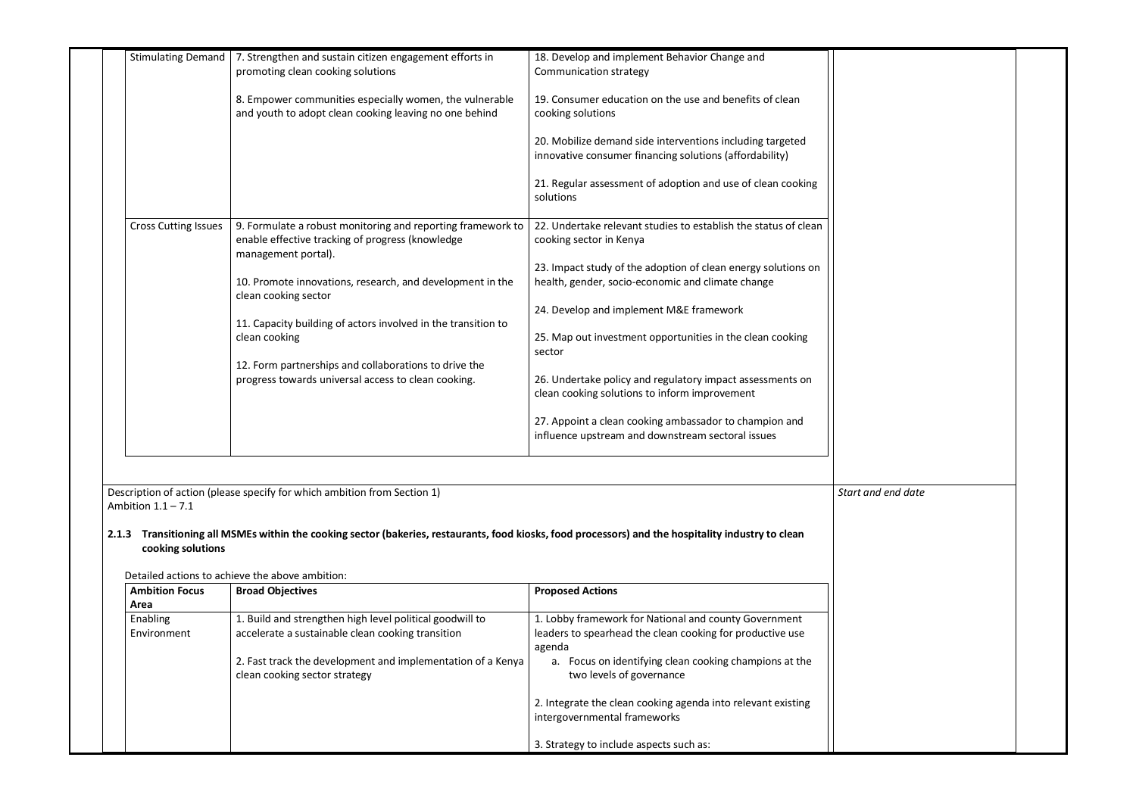| <b>Stimulating Demand</b>   | 7. Strengthen and sustain citizen engagement efforts in<br>promoting clean cooking solutions                                           | 18. Develop and implement Behavior Change and<br>Communication strategy                                              |
|-----------------------------|----------------------------------------------------------------------------------------------------------------------------------------|----------------------------------------------------------------------------------------------------------------------|
|                             | 8. Empower communities especially women, the vulnerable<br>and youth to adopt clean cooking leaving no one behind                      | 19. Consumer education on the use and benefits of clean<br>cooking solutions                                         |
|                             |                                                                                                                                        | 20. Mobilize demand side interventions including targeted<br>innovative consumer financing solutions (affordability) |
|                             |                                                                                                                                        | 21. Regular assessment of adoption and use of clean cooking<br>solutions                                             |
| <b>Cross Cutting Issues</b> | 9. Formulate a robust monitoring and reporting framework to<br>enable effective tracking of progress (knowledge<br>management portal). | 22. Undertake relevant studies to establish the status of clean<br>cooking sector in Kenya                           |
|                             | 10. Promote innovations, research, and development in the<br>clean cooking sector                                                      | 23. Impact study of the adoption of clean energy solutions on<br>health, gender, socio-economic and climate change   |
|                             |                                                                                                                                        | 24. Develop and implement M&E framework                                                                              |
|                             | 11. Capacity building of actors involved in the transition to<br>clean cooking                                                         | 25. Map out investment opportunities in the clean cooking<br>sector                                                  |
|                             | 12. Form partnerships and collaborations to drive the<br>progress towards universal access to clean cooking.                           | 26. Undertake policy and regulatory impact assessments on<br>clean cooking solutions to inform improvement           |
|                             |                                                                                                                                        | 27. Appoint a clean cooking ambassador to champion and<br>influence upstream and downstream sectoral issues          |

Description of action (please specify for which ambition from Section 1) Ambition  $1.1 - 7.1$ 

### **2.1.3 Transitioning all MSMEs within the cooking sector (bakeries, restaurants, food kiosks, food processors) and the hospitality industry to clean cooking solutions**

Detailed actions to achieve the above ambition:

| <b>Ambition Focus</b> | <b>Broad Objectives</b>                                                                      | <b>Proposed Actions</b>                                                                      |
|-----------------------|----------------------------------------------------------------------------------------------|----------------------------------------------------------------------------------------------|
| Area                  |                                                                                              |                                                                                              |
| Enabling              | 1. Build and strengthen high level political goodwill to                                     | 1. Lobby framework for National and county Government                                        |
| Environment           | accelerate a sustainable clean cooking transition                                            | leaders to spearhead the clean cooking for productive use<br>agenda                          |
|                       | 2. Fast track the development and implementation of a Kenya<br>clean cooking sector strategy | a. Focus on identifying clean cooking champions at the<br>two levels of governance           |
|                       |                                                                                              | 2. Integrate the clean cooking agenda into relevant existing<br>intergovernmental frameworks |
|                       |                                                                                              | 3. Strategy to include aspects such as:                                                      |

| Start and end date |  |  |
|--------------------|--|--|
|                    |  |  |
|                    |  |  |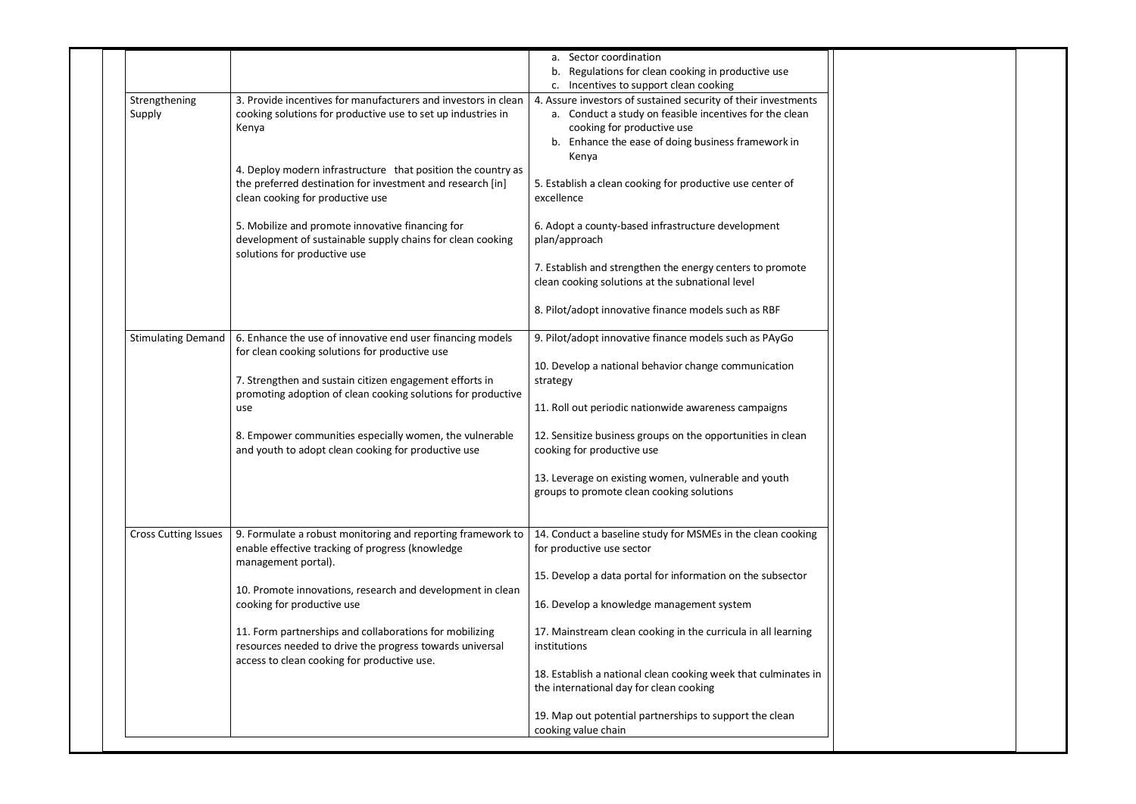|                             |                                                                                                                                                                    | a. Sector coordination<br>Regulations for clean cooking in productive use<br>b.                                                                                                                                                                                  |
|-----------------------------|--------------------------------------------------------------------------------------------------------------------------------------------------------------------|------------------------------------------------------------------------------------------------------------------------------------------------------------------------------------------------------------------------------------------------------------------|
| Strengthening<br>Supply     | 3. Provide incentives for manufacturers and investors in clean<br>cooking solutions for productive use to set up industries in<br>Kenya                            | c. Incentives to support clean cooking<br>4. Assure investors of sustained security of their investments<br>a. Conduct a study on feasible incentives for the clean<br>cooking for productive use<br>b. Enhance the ease of doing business framework in<br>Kenya |
|                             | 4. Deploy modern infrastructure that position the country as<br>the preferred destination for investment and research [in]<br>clean cooking for productive use     | 5. Establish a clean cooking for productive use center of<br>excellence                                                                                                                                                                                          |
|                             | 5. Mobilize and promote innovative financing for<br>development of sustainable supply chains for clean cooking<br>solutions for productive use                     | 6. Adopt a county-based infrastructure development<br>plan/approach                                                                                                                                                                                              |
|                             |                                                                                                                                                                    | 7. Establish and strengthen the energy centers to promote<br>clean cooking solutions at the subnational level                                                                                                                                                    |
|                             |                                                                                                                                                                    | 8. Pilot/adopt innovative finance models such as RBF                                                                                                                                                                                                             |
| <b>Stimulating Demand</b>   | 6. Enhance the use of innovative end user financing models<br>for clean cooking solutions for productive use                                                       | 9. Pilot/adopt innovative finance models such as PAyGo                                                                                                                                                                                                           |
|                             | 7. Strengthen and sustain citizen engagement efforts in                                                                                                            | 10. Develop a national behavior change communication<br>strategy                                                                                                                                                                                                 |
|                             | promoting adoption of clean cooking solutions for productive<br>use                                                                                                | 11. Roll out periodic nationwide awareness campaigns                                                                                                                                                                                                             |
|                             | 8. Empower communities especially women, the vulnerable<br>and youth to adopt clean cooking for productive use                                                     | 12. Sensitize business groups on the opportunities in clean<br>cooking for productive use                                                                                                                                                                        |
|                             |                                                                                                                                                                    | 13. Leverage on existing women, vulnerable and youth<br>groups to promote clean cooking solutions                                                                                                                                                                |
| <b>Cross Cutting Issues</b> | 9. Formulate a robust monitoring and reporting framework to<br>enable effective tracking of progress (knowledge<br>management portal).                             | 14. Conduct a baseline study for MSMEs in the clean cooking<br>for productive use sector                                                                                                                                                                         |
|                             | 10. Promote innovations, research and development in clean                                                                                                         | 15. Develop a data portal for information on the subsector                                                                                                                                                                                                       |
|                             | cooking for productive use                                                                                                                                         | 16. Develop a knowledge management system                                                                                                                                                                                                                        |
|                             | 11. Form partnerships and collaborations for mobilizing<br>resources needed to drive the progress towards universal<br>access to clean cooking for productive use. | 17. Mainstream clean cooking in the curricula in all learning<br>institutions                                                                                                                                                                                    |
|                             |                                                                                                                                                                    | 18. Establish a national clean cooking week that culminates in<br>the international day for clean cooking                                                                                                                                                        |
|                             |                                                                                                                                                                    | 19. Map out potential partnerships to support the clean<br>cooking value chain                                                                                                                                                                                   |

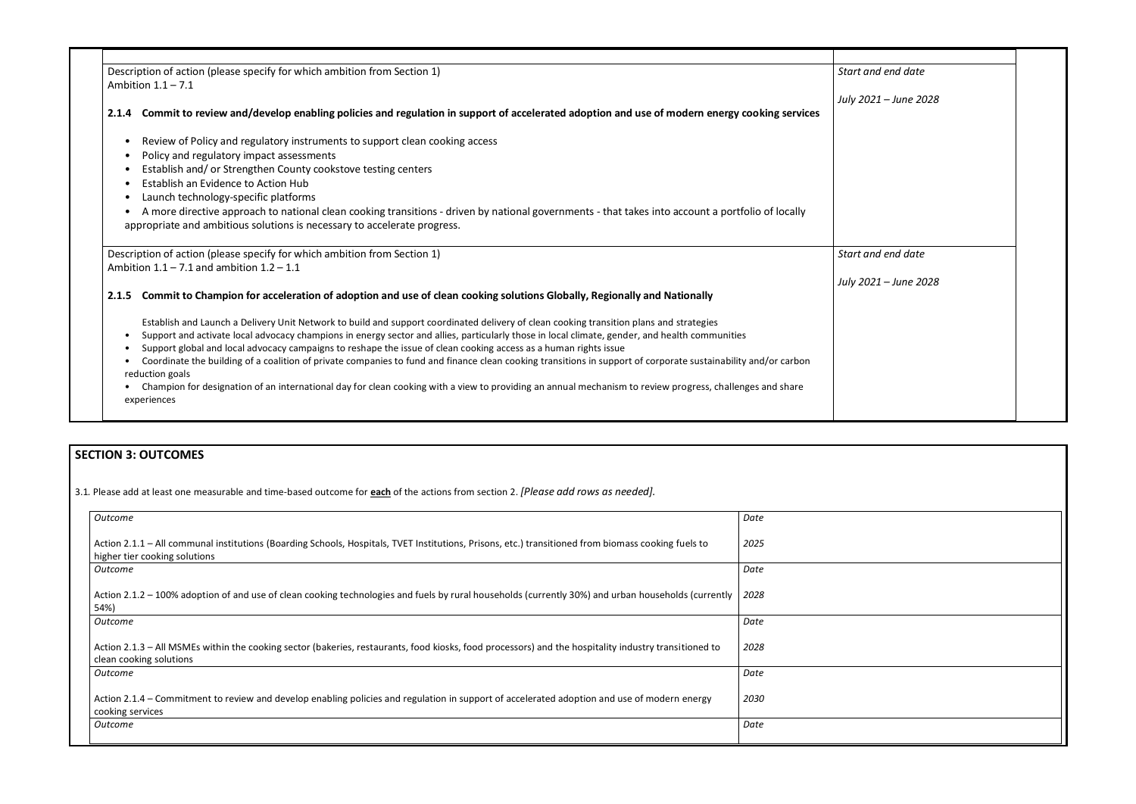| Description of action (please specify for which ambition from Section 1)<br>Ambition $1.1 - 7.1$                                                                                                                              | Start and end date    |
|-------------------------------------------------------------------------------------------------------------------------------------------------------------------------------------------------------------------------------|-----------------------|
|                                                                                                                                                                                                                               | July 2021 - June 2028 |
| Commit to review and/develop enabling policies and regulation in support of accelerated adoption and use of modern energy cooking services<br>2.1.4                                                                           |                       |
| Review of Policy and regulatory instruments to support clean cooking access                                                                                                                                                   |                       |
| Policy and regulatory impact assessments                                                                                                                                                                                      |                       |
| Establish and/ or Strengthen County cookstove testing centers                                                                                                                                                                 |                       |
| Establish an Evidence to Action Hub                                                                                                                                                                                           |                       |
| Launch technology-specific platforms                                                                                                                                                                                          |                       |
| A more directive approach to national clean cooking transitions - driven by national governments - that takes into account a portfolio of locally<br>appropriate and ambitious solutions is necessary to accelerate progress. |                       |
| Description of action (please specify for which ambition from Section 1)                                                                                                                                                      | Start and end date    |
| Ambition $1.1 - 7.1$ and ambition $1.2 - 1.1$                                                                                                                                                                                 |                       |
|                                                                                                                                                                                                                               | July 2021 - June 2028 |
| Commit to Champion for acceleration of adoption and use of clean cooking solutions Globally, Regionally and Nationally<br>2.1.5                                                                                               |                       |
| Establish and Launch a Delivery Unit Network to build and support coordinated delivery of clean cooking transition plans and strategies                                                                                       |                       |
| Support and activate local advocacy champions in energy sector and allies, particularly those in local climate, gender, and health communities                                                                                |                       |
| Support global and local advocacy campaigns to reshape the issue of clean cooking access as a human rights issue                                                                                                              |                       |
| Coordinate the building of a coalition of private companies to fund and finance clean cooking transitions in support of corporate sustainability and/or carbon<br>reduction goals                                             |                       |
| Champion for designation of an international day for clean cooking with a view to providing an annual mechanism to review progress, challenges and share<br>experiences                                                       |                       |

# **SECTION 3: OUTCOMES**

3.1*.* Please add at least one measurable and time-based outcome for **each** of the actions from section 2. *[Please add rows as needed].*

| Outcome                                                                                                                                                                              | Date |
|--------------------------------------------------------------------------------------------------------------------------------------------------------------------------------------|------|
| Action 2.1.1 – All communal institutions (Boarding Schools, Hospitals, TVET Institutions, Prisons, etc.) transitioned from biomass cooking fuels to<br>higher tier cooking solutions | 2025 |
| Outcome                                                                                                                                                                              | Date |
| Action 2.1.2 – 100% adoption of and use of clean cooking technologies and fuels by rural households (currently 30%) and urban households (currently<br>54%)                          | 2028 |
| Outcome                                                                                                                                                                              | Date |
| Action 2.1.3 – All MSMEs within the cooking sector (bakeries, restaurants, food kiosks, food processors) and the hospitality industry transitioned to<br>clean cooking solutions     | 2028 |
| Outcome                                                                                                                                                                              | Date |
| Action 2.1.4 – Commitment to review and develop enabling policies and regulation in support of accelerated adoption and use of modern energy<br>cooking services                     | 2030 |
| Outcome                                                                                                                                                                              | Date |
|                                                                                                                                                                                      |      |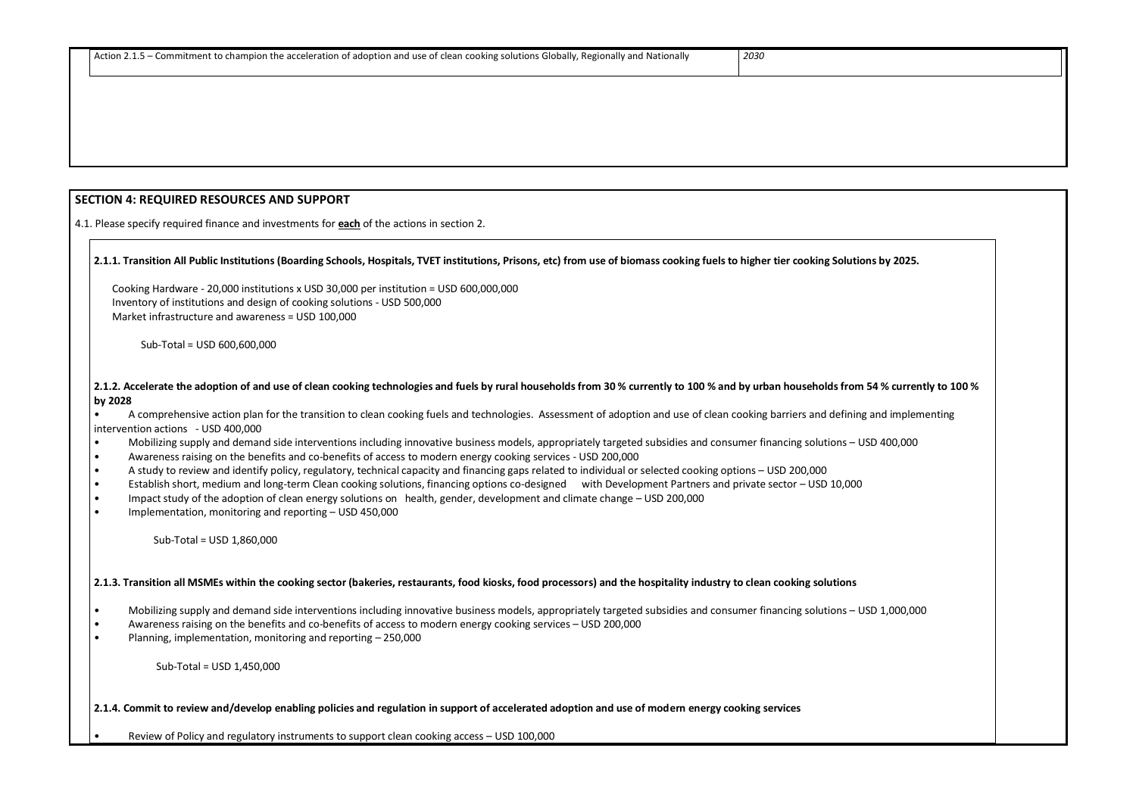#### **SECTION 4: REQUIRED RESOURCES AND SUPPORT**

4.1. Please specify required finance and investments for **each** of the actions in section 2.

#### **2.1.1. Transition All Public Institutions (Boarding Schools, Hospitals, TVET institutions, Prisons, etc) from use of biomass cooking fuels to higher tier cooking Solutions by 2025.**

 Cooking Hardware - 20,000 institutions x USD 30,000 per institution = USD 600,000,000 Inventory of institutions and design of cooking solutions - USD 500,000 Market infrastructure and awareness = USD 100,000

Sub-Total = USD 600,600,000

#### **2.1.2. Accelerate the adoption of and use of clean cooking technologies and fuels by rural households from 30 % currently to 100 % and by urban households from 54 % currently to 100 % by 2028**

• A comprehensive action plan for the transition to clean cooking fuels and technologies. Assessment of adoption and use of clean cooking barriers and defining and implementing intervention actions - USD 400,000

- Mobilizing supply and demand side interventions including innovative business models, appropriately targeted subsidies and consumer financing solutions USD 400,000
- Awareness raising on the benefits and co-benefits of access to modern energy cooking services USD 200,000
- A study to review and identify policy, regulatory, technical capacity and financing gaps related to individual or selected cooking options USD 200,000
- Establish short, medium and long-term Clean cooking solutions, financing options co-designed with Development Partners and private sector USD 10,000
- Impact study of the adoption of clean energy solutions on health, gender, development and climate change USD 200,000
- Implementation, monitoring and reporting USD 450,000

#### Sub-Total = USD 1,860,000

## **2.1.3. Transition all MSMEs within the cooking sector (bakeries, restaurants, food kiosks, food processors) and the hospitality industry to clean cooking solutions**

- Mobilizing supply and demand side interventions including innovative business models, appropriately targeted subsidies and consumer financing solutions USD 1,000,000
- Awareness raising on the benefits and co-benefits of access to modern energy cooking services USD 200,000
- Planning, implementation, monitoring and reporting 250,000

Sub-Total = USD 1,450,000

## **2.1.4. Commit to review and/develop enabling policies and regulation in support of accelerated adoption and use of modern energy cooking services**

• Review of Policy and regulatory instruments to support clean cooking access – USD 100,000

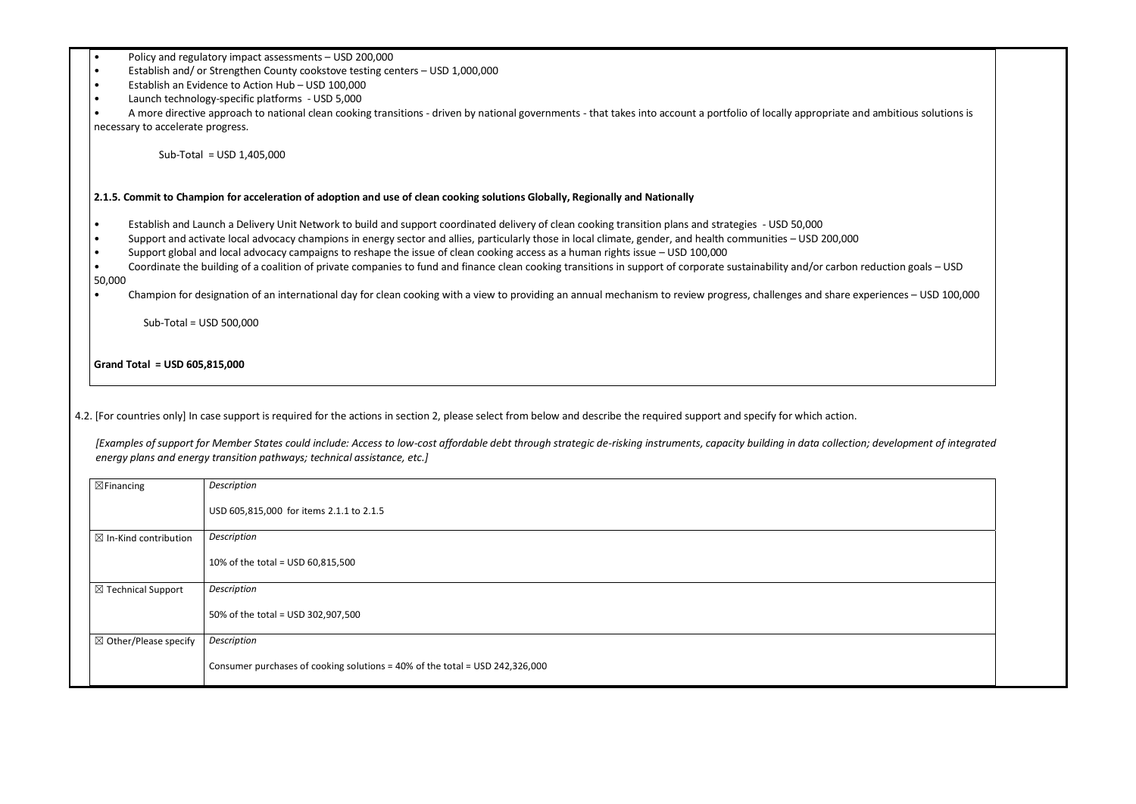- Policy and regulatory impact assessments USD 200,000
- Establish and/ or Strengthen County cookstove testing centers USD 1,000,000
- Establish an Evidence to Action Hub USD 100,000
- Launch technology-specific platforms USD 5,000

A more directive approach to national clean cooking transitions - driven by national governments - that takes into account a portfolio of locally appropriate and ambitious solutions is necessary to accelerate progress.

- Establish and Launch a Delivery Unit Network to build and support coordinated delivery of clean cooking transition plans and strategies USD 50,000
- Support and activate local advocacy champions in energy sector and allies, particularly those in local climate, gender, and health communities USD 200,000
- Support global and local advocacy campaigns to reshape the issue of clean cooking access as a human rights issue USD 100,000
- Coordinate the building of a coalition of private companies to fund and finance clean cooking transitions in support of corporate sustainability and/or carbon reduction goals USD 50,000
- Champion for designation of an international day for clean cooking with a view to providing an annual mechanism to review progress, challenges and share experiences USD 100,000

Sub-Total = USD 1,405,000

#### **2.1.5. Commit to Champion for acceleration of adoption and use of clean cooking solutions Globally, Regionally and Nationally**

Sub-Total = USD 500,000

**Grand Total = USD 605,815,000**

4.2. [For countries only] In case support is required for the actions in section 2, please select from below and describe the required support and specify for which action.

*[Examples of support for Member States could include: Access to low-cost affordable debt through strategic de-risking instruments, capacity building in data collection; development of integrated energy plans and energy transition pathways; technical assistance, etc.]*

| $\boxtimes$ Financing            | Description                                                                  |
|----------------------------------|------------------------------------------------------------------------------|
|                                  | USD 605,815,000 for items 2.1.1 to 2.1.5                                     |
| $\boxtimes$ In-Kind contribution | Description                                                                  |
|                                  | 10% of the total = USD 60,815,500                                            |
| $\boxtimes$ Technical Support    | Description                                                                  |
|                                  | 50% of the total = USD 302,907,500                                           |
| $\boxtimes$ Other/Please specify | Description                                                                  |
|                                  | Consumer purchases of cooking solutions = 40% of the total = USD 242,326,000 |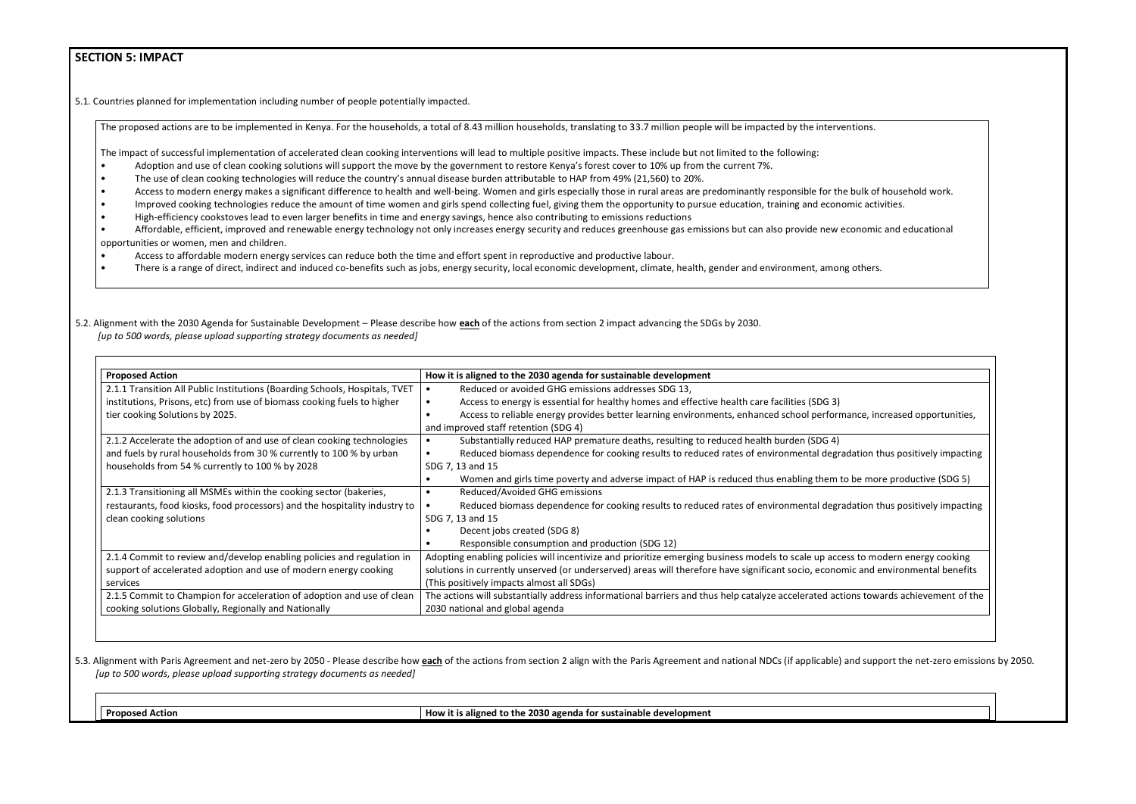#### **SECTION 5: IMPACT**

5.1. Countries planned for implementation including number of people potentially impacted.

The proposed actions are to be implemented in Kenya. For the households, a total of 8.43 million households, translating to 33.7 million people will be impacted by the interventions.

The impact of successful implementation of accelerated clean cooking interventions will lead to multiple positive impacts. These include but not limited to the following:

- Adoption and use of clean cooking solutions will support the move by the government to restore Kenya's forest cover to 10% up from the current 7%.
- The use of clean cooking technologies will reduce the country's annual disease burden attributable to HAP from 49% (21,560) to 20%.
- Access to modern energy makes a significant difference to health and well-being. Women and girls especially those in rural areas are predominantly responsible for the bulk of household work.
- Improved cooking technologies reduce the amount of time women and girls spend collecting fuel, giving them the opportunity to pursue education, training and economic activities.
- High-efficiency cookstoves lead to even larger benefits in time and energy savings, hence also contributing to emissions reductions
- Affordable, efficient, improved and renewable energy technology not only increases energy security and reduces greenhouse gas emissions but can also provide new economic and educational opportunities or women, men and children.
- Access to affordable modern energy services can reduce both the time and effort spent in reproductive and productive labour.
- There is a range of direct, indirect and induced co-benefits such as jobs, energy security, local economic development, climate, health, gender and environment, among others.
- 5.2. Alignment with the 2030 Agenda for Sustainable Development Please describe how **each** of the actions from section 2 impact advancing the SDGs by 2030. *[up to 500 words, please upload supporting strategy documents as needed]*

5.3. Alignment with Paris Agreement and net-zero by 2050 - Please describe how each of the actions from section 2 align with the Paris Agreement and national NDCs (if applicable) and support the net-zero emissions by 2050. *[up to 500 words, please upload supporting strategy documents as needed]* 

**Proposed Action How it is aligned to the 2030 agenda for sustainable development** 

nce, increased opportunities,

ation thus positively impacting

e more productive (SDG 5)

ation thus positively impacting

to modern energy cooking and environmental benefits

ns towards achievement of the

| <b>Proposed Action</b>                                                      | How it is aligned to the 2030 agenda for sustainable development                                        |  |
|-----------------------------------------------------------------------------|---------------------------------------------------------------------------------------------------------|--|
| 2.1.1 Transition All Public Institutions (Boarding Schools, Hospitals, TVET | Reduced or avoided GHG emissions addresses SDG 13,                                                      |  |
| institutions, Prisons, etc) from use of biomass cooking fuels to higher     | Access to energy is essential for healthy homes and effective health care facilities (SDG 3)            |  |
| tier cooking Solutions by 2025.                                             | Access to reliable energy provides better learning environments, enhanced school performan              |  |
|                                                                             | and improved staff retention (SDG 4)                                                                    |  |
| 2.1.2 Accelerate the adoption of and use of clean cooking technologies      | Substantially reduced HAP premature deaths, resulting to reduced health burden (SDG 4)                  |  |
| and fuels by rural households from 30 % currently to 100 % by urban         | Reduced biomass dependence for cooking results to reduced rates of environmental degrada                |  |
| households from 54 % currently to 100 % by 2028                             | SDG 7, 13 and 15                                                                                        |  |
|                                                                             | Women and girls time poverty and adverse impact of HAP is reduced thus enabling them to b               |  |
| 2.1.3 Transitioning all MSMEs within the cooking sector (bakeries,          | Reduced/Avoided GHG emissions                                                                           |  |
| restaurants, food kiosks, food processors) and the hospitality industry to  | Reduced biomass dependence for cooking results to reduced rates of environmental degrada                |  |
| clean cooking solutions                                                     | SDG 7, 13 and 15                                                                                        |  |
|                                                                             | Decent jobs created (SDG 8)                                                                             |  |
|                                                                             | Responsible consumption and production (SDG 12)                                                         |  |
| 2.1.4 Commit to review and/develop enabling policies and regulation in      | Adopting enabling policies will incentivize and prioritize emerging business models to scale up access  |  |
| support of accelerated adoption and use of modern energy cooking            | solutions in currently unserved (or underserved) areas will therefore have significant socio, economic  |  |
| services                                                                    | (This positively impacts almost all SDGs)                                                               |  |
| 2.1.5 Commit to Champion for acceleration of adoption and use of clean      | The actions will substantially address informational barriers and thus help catalyze accelerated action |  |
| cooking solutions Globally, Regionally and Nationally                       | 2030 national and global agenda                                                                         |  |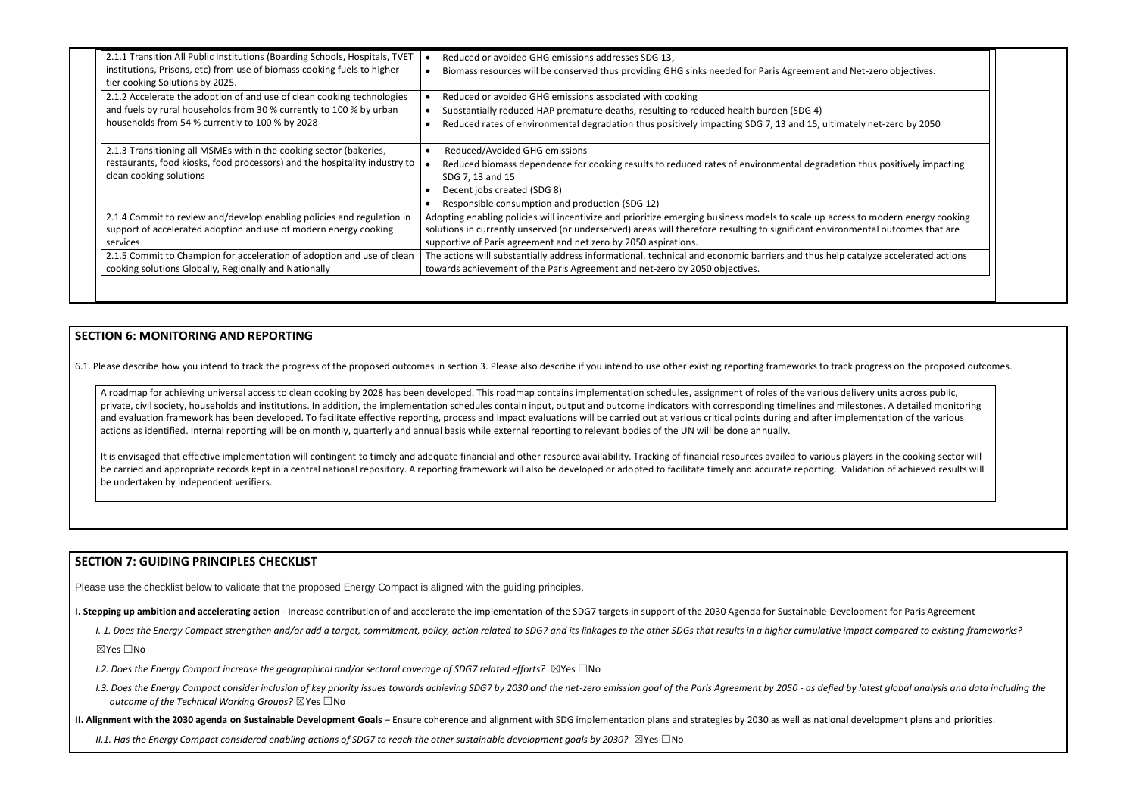| 2.1.1 Transition All Public Institutions (Boarding Schools, Hospitals, TVET                                | Reduced or avoided GHG emissions addresses SDG 13,                                                                                         |
|------------------------------------------------------------------------------------------------------------|--------------------------------------------------------------------------------------------------------------------------------------------|
| institutions, Prisons, etc) from use of biomass cooking fuels to higher<br>tier cooking Solutions by 2025. | Biomass resources will be conserved thus providing GHG sinks needed for Paris Agreement and Net-zero objectives.                           |
| 2.1.2 Accelerate the adoption of and use of clean cooking technologies                                     | Reduced or avoided GHG emissions associated with cooking                                                                                   |
| and fuels by rural households from 30 % currently to 100 % by urban                                        | Substantially reduced HAP premature deaths, resulting to reduced health burden (SDG 4)                                                     |
| households from 54 % currently to 100 % by 2028                                                            | Reduced rates of environmental degradation thus positively impacting SDG 7, 13 and 15, ultimately net-zero by 2050                         |
| 2.1.3 Transitioning all MSMEs within the cooking sector (bakeries,                                         | Reduced/Avoided GHG emissions                                                                                                              |
| restaurants, food kiosks, food processors) and the hospitality industry to<br>clean cooking solutions      | Reduced biomass dependence for cooking results to reduced rates of environmental degradation thus positively impacting<br>SDG 7, 13 and 15 |
|                                                                                                            | Decent jobs created (SDG 8)                                                                                                                |
|                                                                                                            | Responsible consumption and production (SDG 12)                                                                                            |
| 2.1.4 Commit to review and/develop enabling policies and regulation in                                     | Adopting enabling policies will incentivize and prioritize emerging business models to scale up access to modern energy cooking            |
| support of accelerated adoption and use of modern energy cooking                                           | solutions in currently unserved (or underserved) areas will therefore resulting to significant environmental outcomes that are             |
| services                                                                                                   | supportive of Paris agreement and net zero by 2050 aspirations.                                                                            |
| 2.1.5 Commit to Champion for acceleration of adoption and use of clean                                     | The actions will substantially address informational, technical and economic barriers and thus help catalyze accelerated actions           |
| cooking solutions Globally, Regionally and Nationally                                                      | towards achievement of the Paris Agreement and net-zero by 2050 objectives.                                                                |

It is envisaged that effective implementation will contingent to timely and adequate financial and other resource availability. Tracking of financial resources availed to various players in the cooking sector will be carried and appropriate records kept in a central national repository. A reporting framework will also be developed or adopted to facilitate timely and accurate reporting. Validation of achieved results will be undertaken by independent verifiers.

## **SECTION 6: MONITORING AND REPORTING**

6.1. Please describe how you intend to track the progress of the proposed outcomes in section 3. Please also describe if you intend to use other existing reporting frameworks to track progress on the proposed outcomes.

- *I.2. Does the Energy Compact increase the geographical and/or sectoral coverage of SDG7 related efforts?* ⊠Yes □No
- I.3. Does the Energy Compact consider inclusion of key priority issues towards achieving SDG7 by 2030 and the net-zero emission goal of the Paris Agreement by 2050 as defied by latest global analysis and data including t *outcome of the Technical Working Groups?* ☒Yes ☐No

A roadmap for achieving universal access to clean cooking by 2028 has been developed. This roadmap contains implementation schedules, assignment of roles of the various delivery units across public, private, civil society, households and institutions. In addition, the implementation schedules contain input, output and outcome indicators with corresponding timelines and milestones. A detailed monitoring and evaluation framework has been developed. To facilitate effective reporting, process and impact evaluations will be carried out at various critical points during and after implementation of the various actions as identified. Internal reporting will be on monthly, quarterly and annual basis while external reporting to relevant bodies of the UN will be done annually.

#### **SECTION 7: GUIDING PRINCIPLES CHECKLIST**

Please use the checklist below to validate that the proposed Energy Compact is aligned with the guiding principles.

- **I. Stepping up ambition and accelerating action** Increase contribution of and accelerate the implementation of the SDG7 targets in support of the 2030 Agenda for Sustainable Development for Paris Agreement
	- I. 1. Does the Energy Compact strengthen and/or add a target, commitment, policy, action related to SDG7 and its linkages to the other SDGs that results in a higher cumulative impact compared to existing frameworks?

☒Yes ☐No

**II. Alignment with the 2030 agenda on Sustainable Development Goals** – Ensure coherence and alignment with SDG implementation plans and strategies by 2030 as well as national development plans and priorities.

*II.1. Has the Energy Compact considered enabling actions of SDG7 to reach the other sustainable development goals by 2030?* ⊠Yes □No

| et-zero objectives.        |  |
|----------------------------|--|
|                            |  |
| ly net-zero by 2050        |  |
| thus positively impacting  |  |
| to modern energy cooking   |  |
| ental outcomes that are    |  |
| talyze accelerated actions |  |
|                            |  |
|                            |  |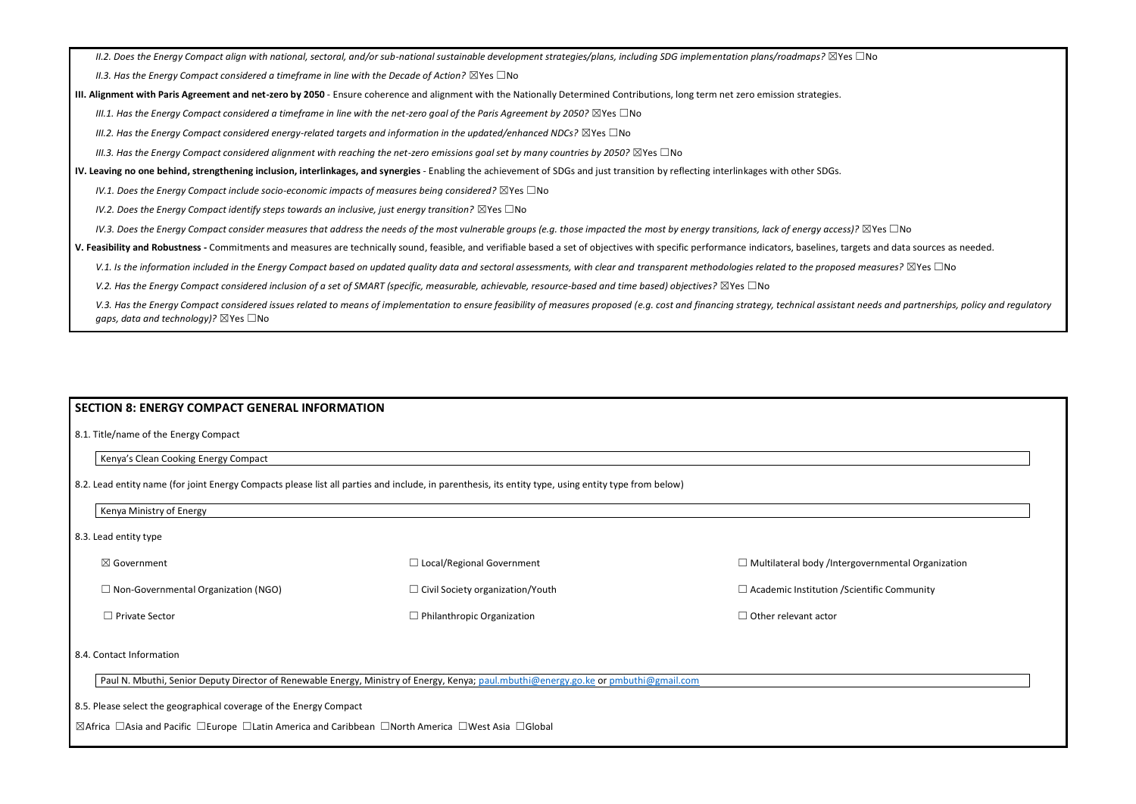*II.2. Does the Energy Compact align with national, sectoral, and/or sub-national sustainable development strategies/plans, including SDG implementation plans/roadmaps?* ☒Yes ☐No

*II.3. Has the Energy Compact considered a timeframe in line with the Decade of Action?* ⊠Yes □No

**III. Alignment with Paris Agreement and net-zero by 2050** - Ensure coherence and alignment with the Nationally Determined Contributions, long term net zero emission strategies.

*III.1. Has the Energy Compact considered a timeframe in line with the net-zero goal of the Paris Agreement by 2050?* ⊠Yes □No

*III.2. Has the Energy Compact considered energy-related targets and information in the updated/enhanced NDCs?* ⊠Yes □No

*III.3. Has the Energy Compact considered alignment with reaching the net-zero emissions goal set by many countries by 2050?* ⊠Yes □No

**IV. Leaving no one behind, strengthening inclusion, interlinkages, and synergies** - Enabling the achievement of SDGs and just transition by reflecting interlinkages with other SDGs.

*IV.1. Does the Energy Compact include socio-economic impacts of measures being considered?* ⊠Yes □No

*IV.2. Does the Energy Compact identify steps towards an inclusive, just energy transition?* ⊠Yes □No

*IV.3. Does the Energy Compact consider measures that address the needs of the most vulnerable groups (e.g. those impacted the most by energy transitions, lack of energy access)?* ⊠Yes □No

| $\boxtimes$ Government                     | $\Box$ Local/Regional Government        | $\Box$ Multilateral body /Interg |
|--------------------------------------------|-----------------------------------------|----------------------------------|
| $\Box$ Non-Governmental Organization (NGO) | $\Box$ Civil Society organization/Youth | $\Box$ Academic Institution /Sci |
| $\Box$ Private Sector                      | $\Box$ Philanthropic Organization       | $\Box$ Other relevant actor      |

**V. Feasibility and Robustness -** Commitments and measures are technically sound, feasible, and verifiable based a set of objectives with specific performance indicators, baselines, targets and data sources as needed.

V.1. Is the information included in the Energy Compact based on updated quality data and sectoral assessments, with clear and transparent methodologies related to the proposed measures? ⊠Yes □No

*V.2. Has the Energy Compact considered inclusion of a set of SMART (specific, measurable, achievable, resource-based and time based) objectives?* ⊠Yes □No

V.3. Has the Energy Compact considered issues related to means of implementation to ensure feasibility of measures proposed (e.g. cost and financing strategy, technical assistant needs and partnerships, policy and regulato *gaps, data and technology*)? ⊠Yes □No

#### **SECTION 8: ENERGY COMPACT GENERAL INFORMATION**

8.1. Title/name of the Energy Compact

Kenya's Clean Cooking Energy Compact

8.2. Lead entity name (for joint Energy Compacts please list all parties and include, in parenthesis, its entity type, using entity type from below)

Kenya Ministry of Energy

8.3. Lead entity type

8.4. Contact Information

Paul N. Mbuthi, Senior Deputy Director of Renewable Energy, Ministry of Energy, Kenya; [paul.mbuthi@energy.go.ke](mailto:paul.mbuthi@energy.go.ke) or [pmbuthi@gmail.com](mailto:pmbuthi@gmail.com)

8.5. Please select the geographical coverage of the Energy Compact

☒Africa ☐Asia and Pacific ☐Europe ☐Latin America and Caribbean ☐North America ☐West Asia ☐Global

governmental Organization

ientific Community